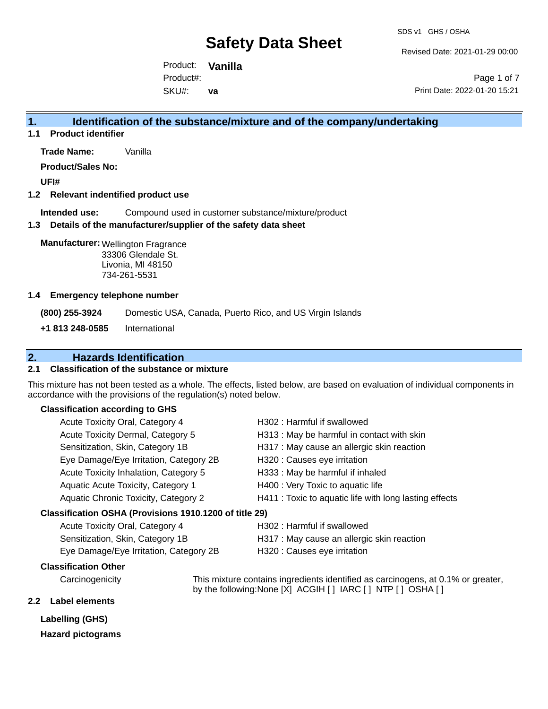Revised Date: 2021-01-29 00:00

Product: **Vanilla**  SKU#: Product#: **va**

Page 1 of 7 Print Date: 2022-01-20 15:21

## **1. Identification of the substance/mixture and of the company/undertaking**

**1.1 Product identifier**

**Trade Name:** Vanilla

**Product/Sales No:**

**UFI#**

**1.2 Relevant indentified product use**

**Intended use:** Compound used in customer substance/mixture/product

#### **1.3 Details of the manufacturer/supplier of the safety data sheet**

**Manufacturer:** Wellington Fragrance 33306 Glendale St. Livonia, MI 48150 734-261-5531

#### **1.4 Emergency telephone number**

**(800) 255-3924** Domestic USA, Canada, Puerto Rico, and US Virgin Islands

**+1 813 248-0585** International

## **2. Hazards Identification**

### **2.1 Classification of the substance or mixture**

This mixture has not been tested as a whole. The effects, listed below, are based on evaluation of individual components in accordance with the provisions of the regulation(s) noted below.

#### **Classification according to GHS**

| Acute Toxicity Oral, Category 4                        | H302: Harmful if swallowed                             |
|--------------------------------------------------------|--------------------------------------------------------|
| Acute Toxicity Dermal, Category 5                      | H313 : May be harmful in contact with skin             |
| Sensitization, Skin, Category 1B                       | H317 : May cause an allergic skin reaction             |
| Eye Damage/Eye Irritation, Category 2B                 | H320 : Causes eye irritation                           |
| Acute Toxicity Inhalation, Category 5                  | H333: May be harmful if inhaled                        |
| Aquatic Acute Toxicity, Category 1                     | H400 : Very Toxic to aquatic life                      |
| Aquatic Chronic Toxicity, Category 2                   | H411 : Toxic to aquatic life with long lasting effects |
| Classification OSHA (Provisions 1910.1200 of title 29) |                                                        |

| Acute Toxicity Oral, Category 4        | H302 : Harmful if swallowed                |
|----------------------------------------|--------------------------------------------|
| Sensitization, Skin, Category 1B       | H317 : May cause an allergic skin reaction |
| Eye Damage/Eye Irritation, Category 2B | H320 : Causes eve irritation               |

## **Classification Other**

Carcinogenicity This mixture contains ingredients identified as carcinogens, at 0.1% or greater, by the following:None [X] ACGIH [ ] IARC [ ] NTP [ ] OSHA [ ]

#### **2.2 Label elements**

**Labelling (GHS)**

## **Hazard pictograms**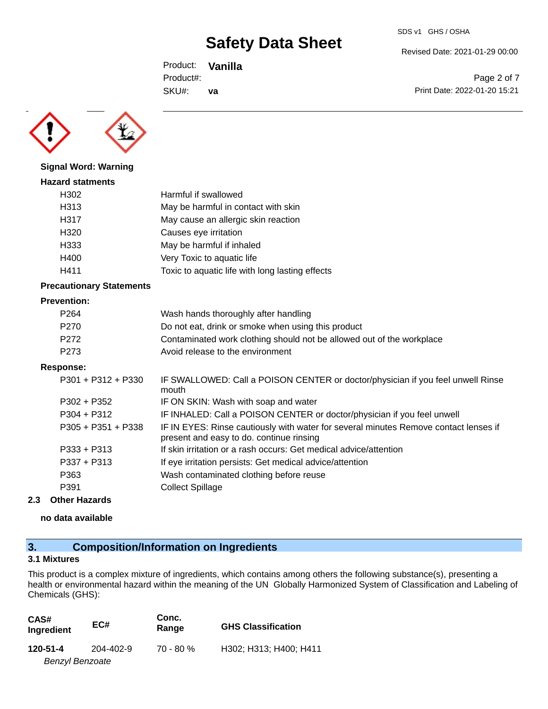Revised Date: 2021-01-29 00:00

Product: **Vanilla**  SKU#: Product#: **va**

Page 2 of 7 Print Date: 2022-01-20 15:21



**Signal Word: Warning**

## **Hazard statments** H302 Harmful if swallowed H313 May be harmful in contact with skin H317 May cause an allergic skin reaction H320 Causes eye irritation H333 May be harmful if inhaled H400 Very Toxic to aquatic life H411 Toxic to aquatic life with long lasting effects

## **Precautionary Statements**

#### **Prevention:**

| P <sub>264</sub> | Wash hands thoroughly after handling                                  |
|------------------|-----------------------------------------------------------------------|
| P270             | Do not eat, drink or smoke when using this product                    |
| P272             | Contaminated work clothing should not be allowed out of the workplace |
| P273             | Avoid release to the environment                                      |

## **Response:**

| IF SWALLOWED: Call a POISON CENTER or doctor/physician if you feel unwell Rinse<br>mouth<br>IF ON SKIN: Wash with soap and water<br>IF INHALED: Call a POISON CENTER or doctor/physician if you feel unwell<br>IF IN EYES: Rinse cautiously with water for several minutes Remove contact lenses if<br>present and easy to do. continue rinsing<br>If skin irritation or a rash occurs: Get medical advice/attention<br>If eye irritation persists: Get medical advice/attention<br>Wash contaminated clothing before reuse<br>P363<br>P391<br><b>Collect Spillage</b> |                      |  |
|------------------------------------------------------------------------------------------------------------------------------------------------------------------------------------------------------------------------------------------------------------------------------------------------------------------------------------------------------------------------------------------------------------------------------------------------------------------------------------------------------------------------------------------------------------------------|----------------------|--|
|                                                                                                                                                                                                                                                                                                                                                                                                                                                                                                                                                                        | $P301 + P312 + P330$ |  |
|                                                                                                                                                                                                                                                                                                                                                                                                                                                                                                                                                                        | $P302 + P352$        |  |
|                                                                                                                                                                                                                                                                                                                                                                                                                                                                                                                                                                        | $P304 + P312$        |  |
|                                                                                                                                                                                                                                                                                                                                                                                                                                                                                                                                                                        | $P305 + P351 + P338$ |  |
|                                                                                                                                                                                                                                                                                                                                                                                                                                                                                                                                                                        | $P333 + P313$        |  |
|                                                                                                                                                                                                                                                                                                                                                                                                                                                                                                                                                                        | $P337 + P313$        |  |
|                                                                                                                                                                                                                                                                                                                                                                                                                                                                                                                                                                        |                      |  |
|                                                                                                                                                                                                                                                                                                                                                                                                                                                                                                                                                                        |                      |  |

## **2.3 Other Hazards**

**no data available**

## **3. Composition/Information on Ingredients**

## **3.1 Mixtures**

This product is a complex mixture of ingredients, which contains among others the following substance(s), presenting a health or environmental hazard within the meaning of the UN Globally Harmonized System of Classification and Labeling of Chemicals (GHS):

| CAS#<br>Ingredient     | EC#       | Conc.<br>Range | <b>GHS Classification</b> |
|------------------------|-----------|----------------|---------------------------|
| 120-51-4               | 204-402-9 | $70 - 80 \%$   | H302: H313: H400: H411    |
| <b>Benzyl Benzoate</b> |           |                |                           |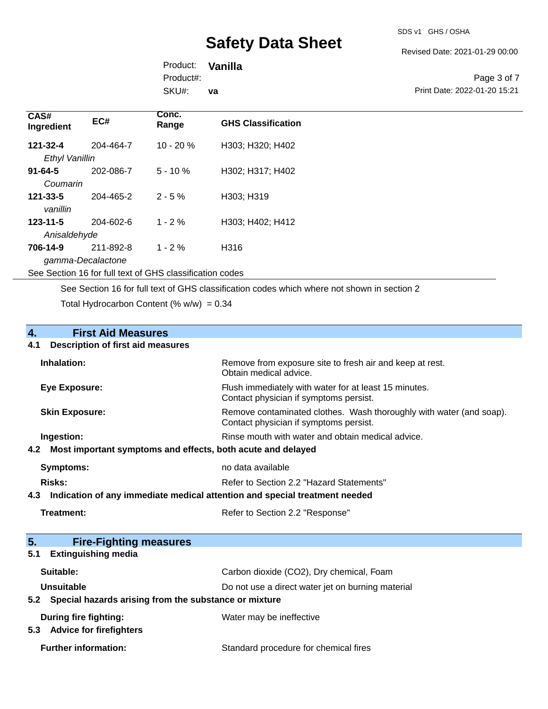Revised Date: 2021-01-29 00:00

Product: **Vanilla**  SKU#: Product#: **va**

Page 3 of 7 Print Date: 2022-01-20 15:21

| CAS#<br>Ingredient | EC#               | Conc.<br>Range                                           | <b>GHS Classification</b> |
|--------------------|-------------------|----------------------------------------------------------|---------------------------|
| 121-32-4           | 204-464-7         | $10 - 20%$                                               | H303; H320; H402          |
| Ethyl Vanillin     |                   |                                                          |                           |
| $91 - 64 - 5$      | 202-086-7         | $5 - 10 \%$                                              | H302; H317; H402          |
| Coumarin           |                   |                                                          |                           |
| $121 - 33 - 5$     | 204-465-2         | $2 - 5%$                                                 | H303; H319                |
| vanillin           |                   |                                                          |                           |
| $123 - 11 - 5$     | $204 - 602 - 6$   | $1 - 2%$                                                 | H303; H402; H412          |
| Anisaldehyde       |                   |                                                          |                           |
| 706-14-9           | 211-892-8         | $1 - 2\%$                                                | H316                      |
|                    | gamma-Decalactone |                                                          |                           |
|                    |                   | See Section 16 for full text of GHS classification codes |                           |

See Section 16 for full text of GHS classification codes which where not shown in section 2

Total Hydrocarbon Content (%  $w/w$ ) = 0.34

# **4. First Aid Measures**

#### **4.1 Description of first aid measures**

| Inhalation:                                                     | Remove from exposure site to fresh air and keep at rest.<br>Obtain medical advice.                            |
|-----------------------------------------------------------------|---------------------------------------------------------------------------------------------------------------|
| Eye Exposure:                                                   | Flush immediately with water for at least 15 minutes.<br>Contact physician if symptoms persist.               |
| <b>Skin Exposure:</b>                                           | Remove contaminated clothes. Wash thoroughly with water (and soap).<br>Contact physician if symptoms persist. |
| Ingestion:                                                      | Rinse mouth with water and obtain medical advice.                                                             |
| 4.2 Most important symptoms and effects, both acute and delayed |                                                                                                               |
| Symptoms:                                                       | no data available                                                                                             |
| <b>Risks:</b>                                                   | Refer to Section 2.2 "Hazard Statements"                                                                      |
|                                                                 | 4.3 Indication of any immediate medical attention and special treatment needed                                |

| Treatment: | Refer to Section 2.2 "Response" |
|------------|---------------------------------|
|------------|---------------------------------|

| 5.<br><b>Fire-Fighting measures</b>                       |                                                   |
|-----------------------------------------------------------|---------------------------------------------------|
| <b>Extinguishing media</b><br>5.1                         |                                                   |
| Suitable:                                                 | Carbon dioxide (CO2), Dry chemical, Foam          |
| Unsuitable                                                | Do not use a direct water jet on burning material |
| 5.2 Special hazards arising from the substance or mixture |                                                   |
| During fire fighting:                                     | Water may be ineffective                          |
| <b>Advice for firefighters</b><br>5.3                     |                                                   |
| <b>Further information:</b>                               | Standard procedure for chemical fires             |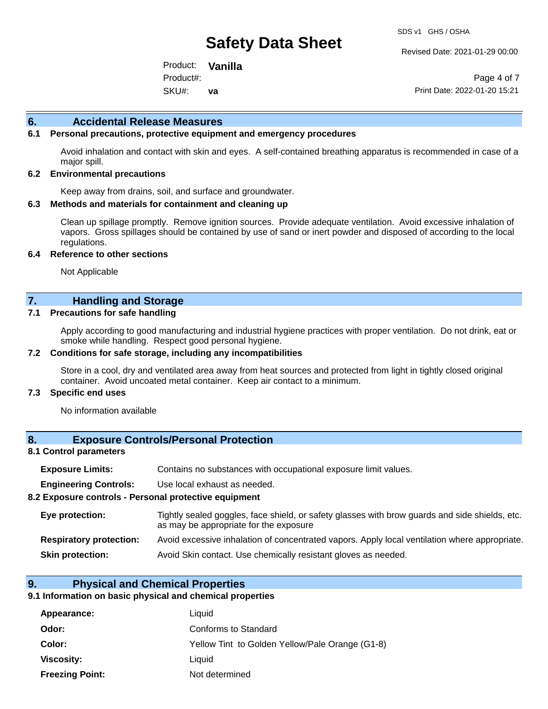Revised Date: 2021-01-29 00:00

Product: **Vanilla**  SKU#: Product#: **va**

Page 4 of 7 Print Date: 2022-01-20 15:21

### **6. Accidental Release Measures**

## **6.1 Personal precautions, protective equipment and emergency procedures**

Avoid inhalation and contact with skin and eyes. A self-contained breathing apparatus is recommended in case of a major spill.

#### **6.2 Environmental precautions**

Keep away from drains, soil, and surface and groundwater.

#### **6.3 Methods and materials for containment and cleaning up**

Clean up spillage promptly. Remove ignition sources. Provide adequate ventilation. Avoid excessive inhalation of vapors. Gross spillages should be contained by use of sand or inert powder and disposed of according to the local regulations.

#### **6.4 Reference to other sections**

Not Applicable

## **7. Handling and Storage**

#### **7.1 Precautions for safe handling**

Apply according to good manufacturing and industrial hygiene practices with proper ventilation. Do not drink, eat or smoke while handling. Respect good personal hygiene.

#### **7.2 Conditions for safe storage, including any incompatibilities**

Store in a cool, dry and ventilated area away from heat sources and protected from light in tightly closed original container. Avoid uncoated metal container. Keep air contact to a minimum.

#### **7.3 Specific end uses**

No information available

## **8. Exposure Controls/Personal Protection**

#### **8.1 Control parameters**

| <b>Exposure Limits:</b> |  | Contains no substances with occupational exposure limit values. |  |  |  |
|-------------------------|--|-----------------------------------------------------------------|--|--|--|
|-------------------------|--|-----------------------------------------------------------------|--|--|--|

**Engineering Controls:** Use local exhaust as needed.

#### **8.2 Exposure controls - Personal protective equipment**

| Eye protection:                | Tightly sealed goggles, face shield, or safety glasses with brow guards and side shields, etc.<br>as may be appropriate for the exposure |
|--------------------------------|------------------------------------------------------------------------------------------------------------------------------------------|
| <b>Respiratory protection:</b> | Avoid excessive inhalation of concentrated vapors. Apply local ventilation where appropriate.                                            |
| <b>Skin protection:</b>        | Avoid Skin contact. Use chemically resistant gloves as needed.                                                                           |

#### **9. Physical and Chemical Properties**

#### **9.1 Information on basic physical and chemical properties**

| Appearance:            | Liauid                                          |
|------------------------|-------------------------------------------------|
| Odor:                  | Conforms to Standard                            |
| Color:                 | Yellow Tint to Golden Yellow/Pale Orange (G1-8) |
| Viscosity:             | Liauid                                          |
| <b>Freezing Point:</b> | Not determined                                  |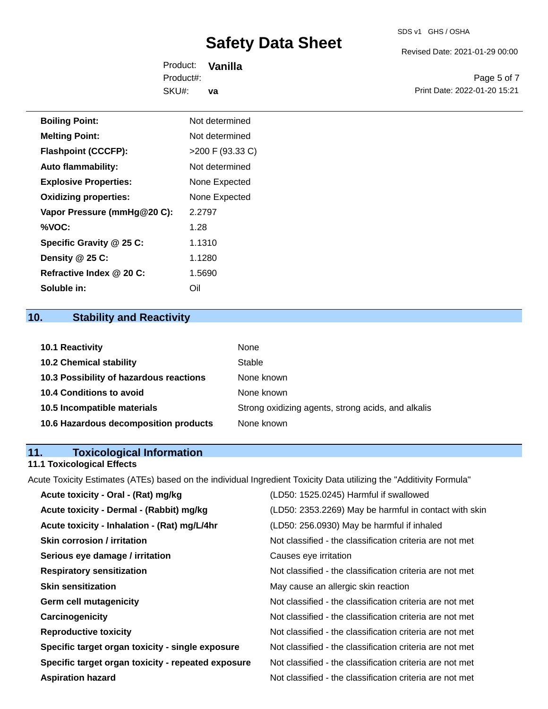#### SDS v1 GHS / OSHA

# **Safety Data Sheet**

Revised Date: 2021-01-29 00:00

Product: **Vanilla**  SKU#: Product#: **va**

Page 5 of 7 Print Date: 2022-01-20 15:21

| <b>Boiling Point:</b>        | Not determined     |
|------------------------------|--------------------|
| <b>Melting Point:</b>        | Not determined     |
| <b>Flashpoint (CCCFP):</b>   | $>200$ F (93.33 C) |
| <b>Auto flammability:</b>    | Not determined     |
| <b>Explosive Properties:</b> | None Expected      |
| <b>Oxidizing properties:</b> | None Expected      |
| Vapor Pressure (mmHg@20 C):  | 2.2797             |
| %VOC:                        | 1.28               |
| Specific Gravity @ 25 C:     | 1.1310             |
| Density @ 25 C:              | 1.1280             |
| Refractive Index @ 20 C:     | 1.5690             |
| Soluble in:                  | Oil                |

## **10. Stability and Reactivity**

| <b>10.1 Reactivity</b>                  | None                                               |
|-----------------------------------------|----------------------------------------------------|
| <b>10.2 Chemical stability</b>          | Stable                                             |
| 10.3 Possibility of hazardous reactions | None known                                         |
| <b>10.4 Conditions to avoid</b>         | None known                                         |
| 10.5 Incompatible materials             | Strong oxidizing agents, strong acids, and alkalis |
| 10.6 Hazardous decomposition products   | None known                                         |

## **11. Toxicological Information**

## **11.1 Toxicological Effects**

Acute Toxicity Estimates (ATEs) based on the individual Ingredient Toxicity Data utilizing the "Additivity Formula"

| Acute toxicity - Oral - (Rat) mg/kg                | (LD50: 1525.0245) Harmful if swallowed                   |
|----------------------------------------------------|----------------------------------------------------------|
| Acute toxicity - Dermal - (Rabbit) mg/kg           | (LD50: 2353.2269) May be harmful in contact with skin    |
| Acute toxicity - Inhalation - (Rat) mg/L/4hr       | (LD50: 256.0930) May be harmful if inhaled               |
| <b>Skin corrosion / irritation</b>                 | Not classified - the classification criteria are not met |
| Serious eye damage / irritation                    | Causes eye irritation                                    |
| <b>Respiratory sensitization</b>                   | Not classified - the classification criteria are not met |
| <b>Skin sensitization</b>                          | May cause an allergic skin reaction                      |
| <b>Germ cell mutagenicity</b>                      | Not classified - the classification criteria are not met |
| Carcinogenicity                                    | Not classified - the classification criteria are not met |
| <b>Reproductive toxicity</b>                       | Not classified - the classification criteria are not met |
| Specific target organ toxicity - single exposure   | Not classified - the classification criteria are not met |
| Specific target organ toxicity - repeated exposure | Not classified - the classification criteria are not met |
| <b>Aspiration hazard</b>                           | Not classified - the classification criteria are not met |
|                                                    |                                                          |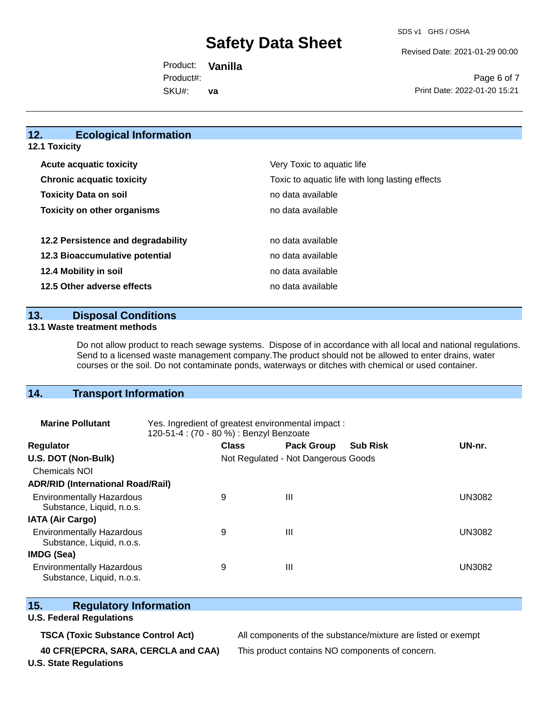Revised Date: 2021-01-29 00:00

Product: **Vanilla**  SKU#: Product#: **va**

Page 6 of 7 Print Date: 2022-01-20 15:21

## **12. Ecological Information**

| <b>12.1 Toxicity</b>               |                                                 |
|------------------------------------|-------------------------------------------------|
| <b>Acute acquatic toxicity</b>     | Very Toxic to aquatic life                      |
| <b>Chronic acquatic toxicity</b>   | Toxic to aquatic life with long lasting effects |
| <b>Toxicity Data on soil</b>       | no data available                               |
| <b>Toxicity on other organisms</b> | no data available                               |
| 12.2 Persistence and degradability | no data available                               |
| 12.3 Bioaccumulative potential     | no data available                               |
| 12.4 Mobility in soil              | no data available                               |
| 12.5 Other adverse effects         | no data available                               |

**13. Disposal Conditions** 

### **13.1 Waste treatment methods**

Do not allow product to reach sewage systems. Dispose of in accordance with all local and national regulations. Send to a licensed waste management company.The product should not be allowed to enter drains, water courses or the soil. Do not contaminate ponds, waterways or ditches with chemical or used container.

## **14. Transport Information**

| <b>Marine Pollutant</b>                                       | Yes. Ingredient of greatest environmental impact:<br>120-51-4 : (70 - 80 %) : Benzyl Benzoate |                                     |                   |                 |               |
|---------------------------------------------------------------|-----------------------------------------------------------------------------------------------|-------------------------------------|-------------------|-----------------|---------------|
| <b>Regulator</b>                                              |                                                                                               | <b>Class</b>                        | <b>Pack Group</b> | <b>Sub Risk</b> | UN-nr.        |
| U.S. DOT (Non-Bulk)                                           |                                                                                               | Not Regulated - Not Dangerous Goods |                   |                 |               |
| <b>Chemicals NOI</b>                                          |                                                                                               |                                     |                   |                 |               |
| <b>ADR/RID (International Road/Rail)</b>                      |                                                                                               |                                     |                   |                 |               |
| <b>Environmentally Hazardous</b><br>Substance, Liquid, n.o.s. |                                                                                               | 9                                   | Ш                 |                 | <b>UN3082</b> |
| <b>IATA (Air Cargo)</b>                                       |                                                                                               |                                     |                   |                 |               |
| <b>Environmentally Hazardous</b><br>Substance, Liquid, n.o.s. |                                                                                               | 9                                   | Ш                 |                 | <b>UN3082</b> |
| <b>IMDG (Sea)</b>                                             |                                                                                               |                                     |                   |                 |               |
| <b>Environmentally Hazardous</b><br>Substance, Liquid, n.o.s. |                                                                                               | 9                                   | Ш                 |                 | UN3082        |

## **15. Regulatory Information**

## **U.S. Federal Regulations**

**TSCA (Toxic Substance Control Act)** All components of the substance/mixture are listed or exempt

**40 CFR(EPCRA, SARA, CERCLA and CAA)** This product contains NO components of concern.

**U.S. State Regulations**